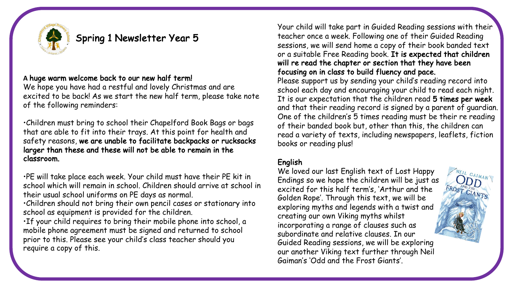

# Spring 1 Newsletter Year 5

### **A** huge warm welcome back to our new half term!

We hope you have had a restful and lovely Christmas and are excited to be back! As we start the new half term, please take note of the following reminders:

•Children must bring to school their Chapelford Book Bags or bags that are able to fit into their trays. At this point for health and safety reasons, we are unable to facilitate backpacks or rucksacks larger than these and these will not be able to remain in the classroom.

•PE will take place each week. Your child must have their PE kit in school which will remain in school. Children should arrive at school in their usual school uniforms on PE days as normal.

•Children should not bring their own pencil cases or stationary into school as equipment is provided for the children.

•If your child requires to bring their mobile phone into school, a mobile phone agreement must be signed and returned to school prior to this. Please see your child's class teacher should you require a copy of this.

Your child will take part in Guided Reading sessions with their teacher once a week. Following one of their Guided Reading sessions, we will send home a copy of their book banded text or a suitable Free Reading book. It is expected that children will re read the chapter or section that they have been focusing on in class to build fluency and pace.

Please support us by sending your child's reading record into school each day and encouraging your child to read each night. It is our expectation that the children read 5 times per week and that their reading record is signed by a parent of guardian. One of the children's 5 times reading must be their re reading of their banded book but, other than this, the children can read a variety of texts, including newspapers, leaflets, fiction books or reading plus!

## English

We loved our last English text of Lost Happy Endings so we hope the children will be just as excited for this half term's, 'Arthur and the Golden Rope'. Through this text, we will be exploring myths and legends with a twist and creating our own Viking myths whilst incorporating a range of clauses such as subordinate and relative clauses. In our Guided Reading sessions, we will be exploring our another Viking text further through Neil Gaiman's 'Odd and the Frost Giants'.